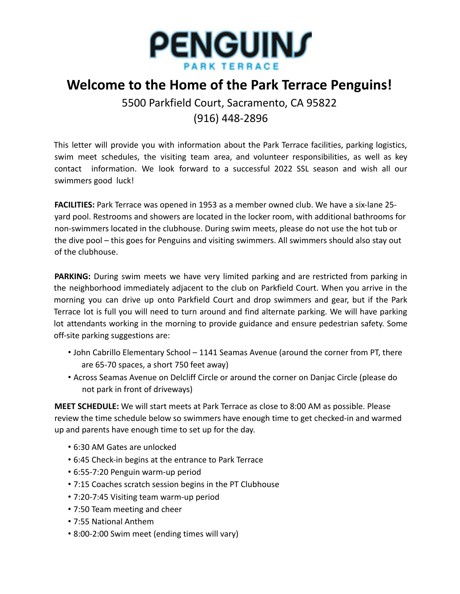

## **Welcome to the Home of the Park Terrace Penguins!**

5500 Parkfield Court, Sacramento, CA 95822 (916) 448-2896

This letter will provide you with information about the Park Terrace facilities, parking logistics, swim meet schedules, the visiting team area, and volunteer responsibilities, as well as key contact information. We look forward to a successful 2022 SSL season and wish all our swimmers good luck!

**FACILITIES:** Park Terrace was opened in 1953 as a member owned club. We have a six-lane 25 yard pool. Restrooms and showers are located in the locker room, with additional bathrooms for non-swimmers located in the clubhouse. During swim meets, please do not use the hot tub or the dive pool – this goes for Penguins and visiting swimmers. All swimmers should also stay out of the clubhouse.

**PARKING:** During swim meets we have very limited parking and are restricted from parking in the neighborhood immediately adjacent to the club on Parkfield Court. When you arrive in the morning you can drive up onto Parkfield Court and drop swimmers and gear, but if the Park Terrace lot is full you will need to turn around and find alternate parking. We will have parking lot attendants working in the morning to provide guidance and ensure pedestrian safety. Some off-site parking suggestions are:

- John Cabrillo Elementary School 1141 Seamas Avenue (around the corner from PT, there are 65-70 spaces, a short 750 feet away)
- Across Seamas Avenue on Delcliff Circle or around the corner on Danjac Circle (please do not park in front of driveways)

**MEET SCHEDULE:** We will start meets at Park Terrace as close to 8:00 AM as possible. Please review the time schedule below so swimmers have enough time to get checked-in and warmed up and parents have enough time to set up for the day.

- 6:30 AM Gates are unlocked
- 6:45 Check-in begins at the entrance to Park Terrace
- 6:55-7:20 Penguin warm-up period
- 7:15 Coaches scratch session begins in the PT Clubhouse
- 7:20-7:45 Visiting team warm-up period
- 7:50 Team meeting and cheer
- 7:55 National Anthem
- 8:00-2:00 Swim meet (ending times will vary)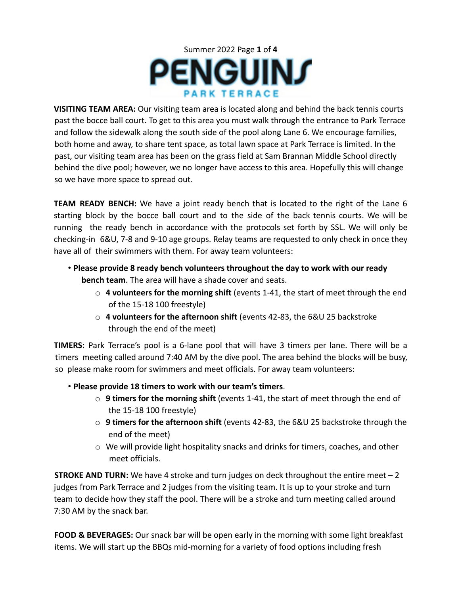

**VISITING TEAM AREA:** Our visiting team area is located along and behind the back tennis courts past the bocce ball court. To get to this area you must walk through the entrance to Park Terrace and follow the sidewalk along the south side of the pool along Lane 6. We encourage families, both home and away, to share tent space, as total lawn space at Park Terrace is limited. In the past, our visiting team area has been on the grass field at Sam Brannan Middle School directly behind the dive pool; however, we no longer have access to this area. Hopefully this will change so we have more space to spread out.

**TEAM READY BENCH:** We have a joint ready bench that is located to the right of the Lane 6 starting block by the bocce ball court and to the side of the back tennis courts. We will be running the ready bench in accordance with the protocols set forth by SSL. We will only be checking-in 6&U, 7-8 and 9-10 age groups. Relay teams are requested to only check in once they have all of their swimmers with them. For away team volunteers:

- **Please provide 8 ready bench volunteers throughout the day to work with our ready bench team**. The area will have a shade cover and seats.
	- o **4 volunteers for the morning shift** (events 1-41, the start of meet through the end of the 15-18 100 freestyle)
	- o **4 volunteers for the afternoon shift** (events 42-83, the 6&U 25 backstroke through the end of the meet)

**TIMERS:** Park Terrace's pool is a 6-lane pool that will have 3 timers per lane. There will be a timers meeting called around 7:40 AM by the dive pool. The area behind the blocks will be busy, so please make room for swimmers and meet officials. For away team volunteers:

- **Please provide 18 timers to work with our team's timers**.
	- o **9 timers for the morning shift** (events 1-41, the start of meet through the end of the 15-18 100 freestyle)
	- o **9 timers for the afternoon shift** (events 42-83, the 6&U 25 backstroke through the end of the meet)
	- $\circ$  We will provide light hospitality snacks and drinks for timers, coaches, and other meet officials.

**STROKE AND TURN:** We have 4 stroke and turn judges on deck throughout the entire meet – 2 judges from Park Terrace and 2 judges from the visiting team. It is up to your stroke and turn team to decide how they staff the pool. There will be a stroke and turn meeting called around 7:30 AM by the snack bar.

**FOOD & BEVERAGES:** Our snack bar will be open early in the morning with some light breakfast items. We will start up the BBQs mid-morning for a variety of food options including fresh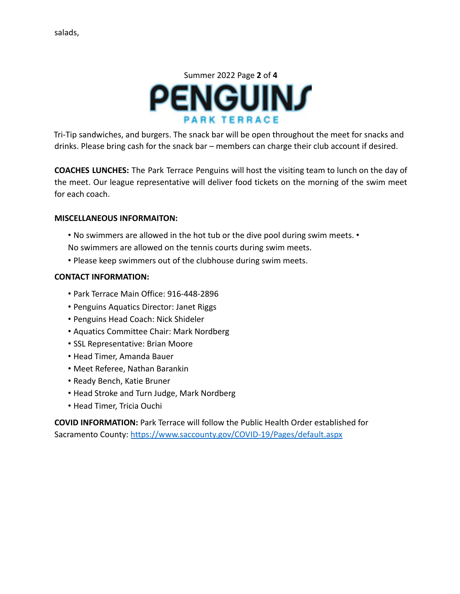

Tri-Tip sandwiches, and burgers. The snack bar will be open throughout the meet for snacks and drinks. Please bring cash for the snack bar – members can charge their club account if desired.

**COACHES LUNCHES:** The Park Terrace Penguins will host the visiting team to lunch on the day of the meet. Our league representative will deliver food tickets on the morning of the swim meet for each coach.

## **MISCELLANEOUS INFORMAITON:**

- No swimmers are allowed in the hot tub or the dive pool during swim meets. •
- No swimmers are allowed on the tennis courts during swim meets.
- Please keep swimmers out of the clubhouse during swim meets.

## **CONTACT INFORMATION:**

- Park Terrace Main Office: 916-448-2896
- Penguins Aquatics Director: Janet Riggs
- Penguins Head Coach: Nick Shideler
- Aquatics Committee Chair: Mark Nordberg
- SSL Representative: Brian Moore
- Head Timer, Amanda Bauer
- Meet Referee, Nathan Barankin
- Ready Bench, Katie Bruner
- Head Stroke and Turn Judge, Mark Nordberg
- Head Timer, Tricia Ouchi

**COVID INFORMATION:** Park Terrace will follow the Public Health Order established for Sacramento County: https://www.saccounty.gov/COVID-19/Pages/default.aspx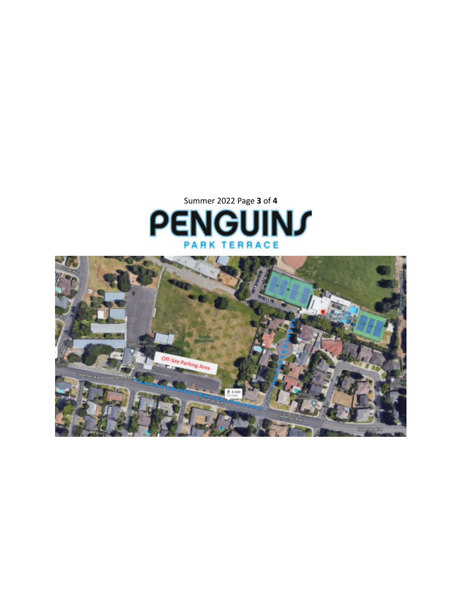